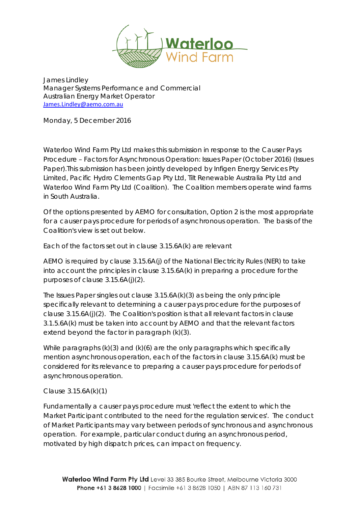

James Lindley Manager Systems Performance and Commercial Australian Energy Market Operator [James.Lindley@aemo.com.au](mailto:James.Lindley@aemo.com.au)

Monday, 5 December 2016

Waterloo Wind Farm Pty Ltd makes this submission in response to the Causer Pays Procedure – Factors for Asynchronous Operation: Issues Paper (October 2016) (Issues Paper).This submission has been jointly developed by Infigen Energy Services Pty Limited, Pacific Hydro Clements Gap Pty Ltd, Tilt Renewable Australia Pty Ltd and Waterloo Wind Farm Pty Ltd (Coalition). The Coalition members operate wind farms in South Australia.

Of the options presented by AEMO for consultation, Option 2 is the most appropriate for a causer pays procedure for periods of asynchronous operation. The basis of the Coalition's view is set out below.

Each of the factors set out in clause 3.15.6A(k) are relevant

AEMO is required by clause 3.15.6A(j) of the National Electricity Rules (NER) to take into account the principles in clause 3.15.6A(k) in preparing a procedure for the purposes of clause 3.15.6A(j)(2).

The Issues Paper singles out clause 3.15.6A(k)(3) as being the only principle specifically relevant to determining a causer pays procedure for the purposes of clause 3.15.6A(j)(2). The Coalition's position is that all relevant factors in clause 3.1.5.6A(k) must be taken into account by AEMO and that the relevant factors extend beyond the factor in paragraph (k)(3).

While paragraphs (k)(3) and (k)(6) are the only paragraphs which specifically mention asynchronous operation, each of the factors in clause 3.15.6A(k) must be considered for its relevance to preparing a causer pays procedure for periods of asynchronous operation.

Clause 3.15.6A(k)(1)

Fundamentally a causer pays procedure must 'reflect the extent to which the Market Participant contributed to the need for the regulation services'. The conduct of Market Participants may vary between periods of synchronous and asynchronous operation. For example, particular conduct during an asynchronous period, motivated by high dispatch prices, can impact on frequency.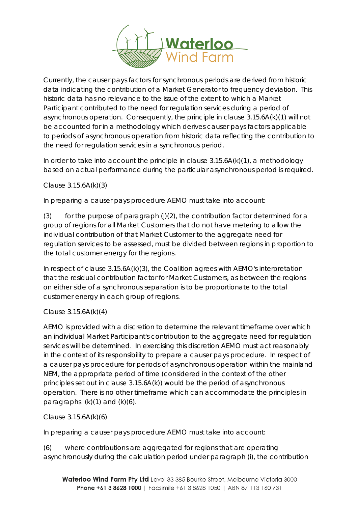

Currently, the causer pays factors for synchronous periods are derived from historic data indicating the contribution of a Market Generator to frequency deviation. This historic data has no relevance to the issue of the extent to which a Market Participant contributed to the need for regulation services during a period of asynchronous operation. Consequently, the principle in clause 3.15.6A(k)(1) will not be accounted for in a methodology which derives causer pays factors applicable to periods of asynchronous operation from historic data reflecting the contribution to the need for regulation services in a synchronous period.

In order to take into account the principle in clause 3.15.6A(k)(1), a methodology based on actual performance during the particular asynchronous period is required.

Clause 3.15.6A(k)(3)

In preparing a causer pays procedure AEMO must take into account:

(3) for the purpose of paragraph (j)(2), the contribution factor determined for a group of regions for all Market Customers that do not have metering to allow the individual contribution of that Market Customer to the aggregate need for regulation services to be assessed, must be divided between regions in proportion to the total customer energy for the regions.

In respect of clause 3.15.6A(k)(3), the Coalition agrees with AEMO's interpretation that the residual contribution factor for Market Customers, as between the regions on either side of a synchronous separation is to be proportionate to the total customer energy in each group of regions.

## Clause 3.15.6A(k)(4)

AEMO is provided with a discretion to determine the relevant timeframe over which an individual Market Participant's contribution to the aggregate need for regulation services will be determined. In exercising this discretion AEMO must act reasonably in the context of its responsibility to prepare a causer pays procedure. In respect of a causer pays procedure for periods of asynchronous operation within the mainland NEM, the appropriate period of time (considered in the context of the other principles set out in clause 3.15.6A(k)) would be the period of asynchronous operation. There is no other timeframe which can accommodate the principles in paragraphs  $(k)(1)$  and  $(k)(6)$ .

Clause 3.15.6A(k)(6)

In preparing a causer pays procedure AEMO must take into account:

(6) where contributions are aggregated for regions that are operating asynchronously during the calculation period under paragraph (i), the contribution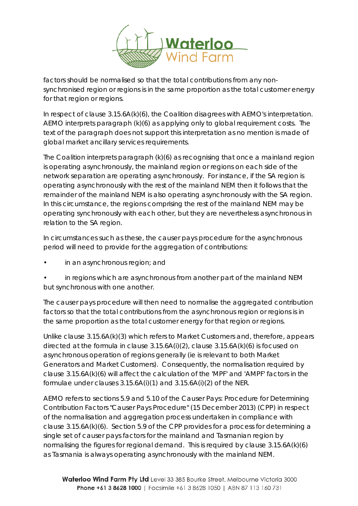

factors should be normalised so that the total contributions from any nonsynchronised region or regions is in the same proportion as the total customer energy for that region or regions.

In respect of clause 3.15.6A(k)(6), the Coalition disagrees with AEMO's interpretation. AEMO interprets paragraph (k)(6) as applying only to global requirement costs. The text of the paragraph does not support this interpretation as no mention is made of global market ancillary services requirements.

The Coalition interprets paragraph (k)(6) as recognising that once a mainland region is operating asynchronously, the mainland region or regions on each side of the network separation are operating asynchronously. For instance, if the SA region is operating asynchronously with the rest of the mainland NEM then it follows that the remainder of the mainland NEM is also operating asynchronously with the SA region. In this circumstance, the regions comprising the rest of the mainland NEM may be operating synchronously with each other, but they are nevertheless asynchronous in relation to the SA region.

In circumstances such as these, the causer pays procedure for the asynchronous period will need to provide for the aggregation of contributions:

- in an asynchronous region; and
- in regions which are asynchronous from another part of the mainland NEM but synchronous with one another.

The causer pays procedure will then need to normalise the aggregated contribution factors so that the total contributions from the asynchronous region or regions is in the same proportion as the total customer energy for that region or regions.

Unlike clause 3.15.6A(k)(3) which refers to Market Customers and, therefore, appears directed at the formula in clause 3.15.6A(i)(2), clause 3.15.6A(k)(6) is focused on asynchronous operation of regions generally (ie is relevant to both Market Generators and Market Customers). Consequently, the normalisation required by clause 3.15.6A(k)(6) will affect the calculation of the 'MPF' and 'AMPF' factors in the formulae under clauses  $3.15.6A(i)(1)$  and  $3.15.6A(i)(2)$  of the NER.

AEMO refers to sections 5.9 and 5.10 of the Causer Pays: Procedure for Determining Contribution Factors "Causer Pays Procedure" (15 December 2013) (CPP) in respect of the normalisation and aggregation process undertaken in compliance with clause 3.15.6A(k)(6). Section 5.9 of the CPP provides for a process for determining a single set of causer pays factors for the mainland and Tasmanian region by normalising the figures for regional demand. This is required by clause 3.15.6A(k)(6) as Tasmania is always operating asynchronously with the mainland NEM.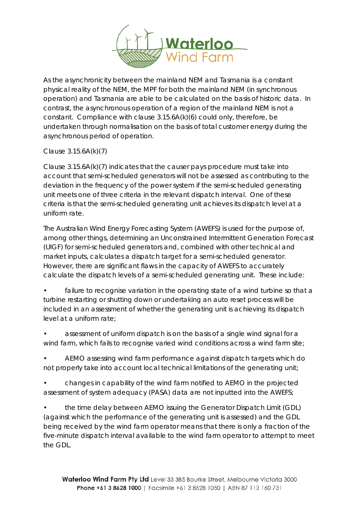

As the asynchronicity between the mainland NEM and Tasmania is a constant physical reality of the NEM, the MPF for both the mainland NEM (in synchronous operation) and Tasmania are able to be calculated on the basis of historic data. In contrast, the asynchronous operation of a region of the mainland NEM is not a constant. Compliance with clause 3.15.6A(k)(6) could only, therefore, be undertaken through normalisation on the basis of total customer energy during the asynchronous period of operation.

Clause 3.15.6A(k)(7)

Clause  $3.15.6A(k)(7)$  indicates that the causer pays procedure must take into account that semi-scheduled generators will not be assessed as contributing to the deviation in the frequency of the power system if the semi-scheduled generating unit meets one of three criteria in the relevant dispatch interval. One of these criteria is that the semi-scheduled generating unit achieves its dispatch level at a uniform rate.

The Australian Wind Energy Forecasting System (AWEFS) is used for the purpose of, among other things, determining an Unconstrained Intermittent Generation Forecast (UIGF) for semi-scheduled generators and, combined with other technical and market inputs, calculates a dispatch target for a semi-scheduled generator. However, there are significant flaws in the capacity of AWEFS to accurately calculate the dispatch levels of a semi-scheduled generating unit. These include:

failure to recognise variation in the operating state of a wind turbine so that a turbine restarting or shutting down or undertaking an auto reset process will be included in an assessment of whether the generating unit is achieving its dispatch level at a uniform rate;

• assessment of uniform dispatch is on the basis of a single wind signal for a wind farm, which fails to recognise varied wind conditions across a wind farm site;

• AEMO assessing wind farm performance against dispatch targets which do not properly take into account local technical limitations of the generating unit;

• changes in capability of the wind farm notified to AEMO in the projected assessment of system adequacy (PASA) data are not inputted into the AWEFS;

• the time delay between AEMO issuing the Generator Dispatch Limit (GDL) (against which the performance of the generating unit is assessed) and the GDL being received by the wind farm operator means that there is only a fraction of the five-minute dispatch interval available to the wind farm operator to attempt to meet the GDL.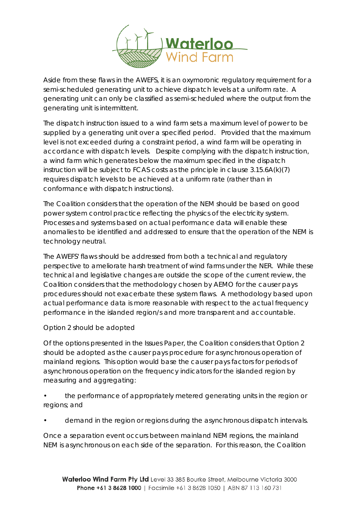

Aside from these flaws in the AWEFS, it is an oxymoronic regulatory requirement for a semi-scheduled generating unit to achieve dispatch levels at a uniform rate. A generating unit can only be classified as semi-scheduled where the output from the generating unit is intermittent.

The dispatch instruction issued to a wind farm sets a maximum level of power to be supplied by a generating unit over a specified period. Provided that the maximum level is not exceeded during a constraint period, a wind farm will be operating in accordance with dispatch levels. Despite complying with the dispatch instruction, a wind farm which generates below the maximum specified in the dispatch instruction will be subject to FCAS costs as the principle in clause 3.15.6A(k)(7) requires dispatch levels to be achieved at a uniform rate (rather than in conformance with dispatch instructions).

The Coalition considers that the operation of the NEM should be based on good power system control practice reflecting the physics of the electricity system. Processes and systems based on actual performance data will enable these anomalies to be identified and addressed to ensure that the operation of the NEM is technology neutral.

The AWEFS' flaws should be addressed from both a technical and regulatory perspective to ameliorate harsh treatment of wind farms under the NER. While these technical and legislative changes are outside the scope of the current review, the Coalition considers that the methodology chosen by AEMO for the causer pays procedures should not exacerbate these system flaws. A methodology based upon actual performance data is more reasonable with respect to the actual frequency performance in the islanded region/s and more transparent and accountable.

## Option 2 should be adopted

Of the options presented in the Issues Paper, the Coalition considers that Option 2 should be adopted as the causer pays procedure for asynchronous operation of mainland regions. This option would base the causer pays factors for periods of asynchronous operation on the frequency indicators for the islanded region by measuring and aggregating:

• the performance of appropriately metered generating units in the region or regions; and

• demand in the region or regions during the asynchronous dispatch intervals.

Once a separation event occurs between mainland NEM regions, the mainland NEM is asynchronous on each side of the separation. For this reason, the Coalition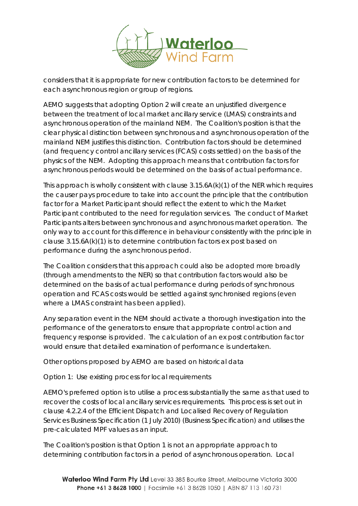

considers that it is appropriate for new contribution factors to be determined for each asynchronous region or group of regions.

AEMO suggests that adopting Option 2 will create an unjustified divergence between the treatment of local market ancillary service (LMAS) constraints and asynchronous operation of the mainland NEM. The Coalition's position is that the clear physical distinction between synchronous and asynchronous operation of the mainland NEM justifies this distinction. Contribution factors should be determined (and frequency control ancillary services (FCAS) costs settled) on the basis of the physics of the NEM. Adopting this approach means that contribution factors for asynchronous periods would be determined on the basis of actual performance.

This approach is wholly consistent with clause  $3.15.6A(k)(1)$  of the NER which requires the causer pays procedure to take into account the principle that the contribution factor for a Market Participant should reflect the extent to which the Market Participant contributed to the need for regulation services. The conduct of Market Participants alters between synchronous and asynchronous market operation. The only way to account for this difference in behaviour consistently with the principle in clause 3.15.6A(k)(1) is to determine contribution factors ex post based on performance during the asynchronous period.

The Coalition considers that this approach could also be adopted more broadly (through amendments to the NER) so that contribution factors would also be determined on the basis of actual performance during periods of synchronous operation and FCAS costs would be settled against synchronised regions (even where a LMAS constraint has been applied).

Any separation event in the NEM should activate a thorough investigation into the performance of the generators to ensure that appropriate control action and frequency response is provided. The calculation of an ex post contribution factor would ensure that detailed examination of performance is undertaken.

Other options proposed by AEMO are based on historical data

Option 1: Use existing process for local requirements

AEMO's preferred option is to utilise a process substantially the same as that used to recover the costs of local ancillary services requirements. This process is set out in clause 4.2.2.4 of the Efficient Dispatch and Localised Recovery of Regulation Services Business Specification (1 July 2010) (Business Specification) and utilises the pre-calculated MPF values as an input.

The Coalition's position is that Option 1 is not an appropriate approach to determining contribution factors in a period of asynchronous operation. Local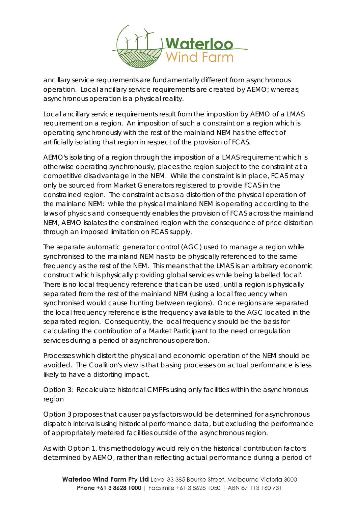

ancillary service requirements are fundamentally different from asynchronous operation. Local ancillary service requirements are created by AEMO; whereas, asynchronous operation is a physical reality.

Local ancillary service requirements result from the imposition by AEMO of a LMAS requirement on a region. An imposition of such a constraint on a region which is operating synchronously with the rest of the mainland NEM has the effect of artificially isolating that region in respect of the provision of FCAS.

AEMO's isolating of a region through the imposition of a LMAS requirement which is otherwise operating synchronously, places the region subject to the constraint at a competitive disadvantage in the NEM. While the constraint is in place, FCAS may only be sourced from Market Generators registered to provide FCAS in the constrained region. The constraint acts as a distortion of the physical operation of the mainland NEM: while the physical mainland NEM is operating according to the laws of physics and consequently enables the provision of FCAS across the mainland NEM, AEMO isolates the constrained region with the consequence of price distortion through an imposed limitation on FCAS supply.

The separate automatic generator control (AGC) used to manage a region while synchronised to the mainland NEM has to be physically referenced to the same frequency as the rest of the NEM. This means that the LMAS is an arbitrary economic construct which is physically providing global services while being labelled 'local'. There is no local frequency reference that can be used, until a region is physically separated from the rest of the mainland NEM (using a local frequency when synchronised would cause hunting between regions). Once regions are separated the local frequency reference is the frequency available to the AGC located in the separated region. Consequently, the local frequency should be the basis for calculating the contribution of a Market Participant to the need or regulation services during a period of asynchronous operation.

Processes which distort the physical and economic operation of the NEM should be avoided. The Coalition's view is that basing processes on actual performance is less likely to have a distorting impact.

Option 3: Recalculate historical CMPFs using only facilities within the asynchronous region

Option 3 proposes that causer pays factors would be determined for asynchronous dispatch intervals using historical performance data, but excluding the performance of appropriately metered facilities outside of the asynchronous region.

As with Option 1, this methodology would rely on the historical contribution factors determined by AEMO, rather than reflecting actual performance during a period of